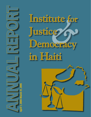*&* **Institute for Justice Democracy in Haiti**

Annual Report

April 1, 2004–March 31, 2005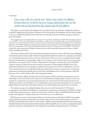August 10, 2005

Dear Friend:

## *Give a man a fish, for a day he eats. Teach a man to fish, for a lifetime he learns there are no fish for the poor, because deforestation silts over the nearby reefs and big boats from big countries take the fish offshore.*

This update on conventional wisdom illustrates the structural obstacles to poor Haitians obtaining the minimum essentials for dignified, peaceful existence. Haitians are the poorest people in the hemisphere, and have always struggled to survive on a tilted playing field, from the brutal slavery era through a long series of foreign occupations and homegrown dictatorships.

The struggle became even harder after the country's 33<sup>rd</sup> coup d'état on February 29, 2004. The elected government was ousted by an unconstitutional regime that attacked pro-democracy activists while slashing government healthcare, education and nutrition programs. A group of doctors, lawyers and activists with decades of experience accompanying Haiti's poor responded to this crisis by founding the Institute for Justice & Democracy in Haiti (IJDH). The Institute contests the current repression and helps its victims, but also works for sustainable, democratic solutions to Haiti's chronic instability and violence.

The Institute addresses Haiti's long-term problems by keeping the repression on the world's radar screen, challenging international support for human rights violations through international lawsuits and advocacy campaigns, and insisting on a constitutional, democratic solution to the crisis. The Institute's website, www.ijdh.org quickly became the single best source for information on human rights in Haiti. It now averages over 200 visitors per day. Our reports have been distributed to every member of the U.S. House of Representatives and appear on websites all over the world. IJDH organized a hearing on Haiti before the Inter-American Commission on Human Rights (IACHR), and we have spoken about Haiti before dozens of audiences worldwide, from Georgetown Law School in Washington to St. Joan of Arc Church in Minnesota to the World Social Forum in Brazil. We have become a trusted source of analysis and information for mainstream media like the New York Times and Washington Post as well as progressive outlets like Democracy Now!, and the Truthout, ZNet and Counterpunch websites.

IJDH and its Haitian affiliate, the *Bureau des Avocats Internationaux* (BAI), stand up for political prisoners in the dictatorship's courts, assure medical care for rape survivors and find internal refugees a place to sleep. In our first year of existence we represented over seventy political prisoners, nine of whom were freed. We are the only lawyers who will take most of these cases. We helped over two hundred rape victims and documented hundreds of cases of political killings, illegal arrests and other human rights violations, for our human rights reports and for future prosecutions.

The Institute leverages its knowledge by helping others advocate in both Haiti and the U.S. We provide documentation, legal analysis and leadership to several grassroots organization in North America and Europe. In Haiti, we help Haitian grassroots groups to organize themselves and to advocate on their own behalf within Haiti and to the outside world. Appendix A contains articles about our work by some of our collaborators.

IJDH leverages its resources by forming partnerships and recruiting volunteers. We helped establish a human rights clinic at Hastings Law School, and that clinic and a student clinic at Yale Law School help us prepare cases for the IACHR. Law students from all over the U.S. telecommute to IJDH year-round through the Institute's pioneering Virtual Internship Program. Most importantly, hundreds of people worldwide regularly join in our advocacy campaigns by signing petitions, writing letters and making phone calls. Appendix B contains letters of support from three of our partners.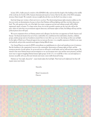In June 2005, a bullet pierced a window of the IJDH/BAI office and traveled the length of the building in the middle of the work day. In October 2004, Amnesty International issued an Action Alert for the safety of the BAI's managing attorney, Mario Joseph. We routinely visit poor neighborhoods that even the Red Cross refuses to enter.

Each day brings new victims or their survivors to our door. The deteriorating human rights situation saddens us, but does not erode our determination, because we know that Haitians will keep fighting until they win their democracy back. The only question is the cost of the fight: how many courageous activists and ordinary people will be killed, imprisoned, raped, or beaten. To a large extent, those of us in the powerful countries are the ones who will set the price: when we insist that our governments support democracy and human rights in Haiti, the killings will stop and the political prison doors will open.

We receive inspiration from our Haitian partners and colleagues, but also from our supporters in North America and Europe. Our financial situation has never been comfortable, but contributions from individuals, churches, solidarity groups, student groups and one foundation ensured that we were able to go out every day during our first year and fight for the rights of Haiti's poor. Financial support does not just pay the rent- it is a tangible expression of belief in our cause and methods, and provides essential moral support during difficult times.

Our Annual Report accounts for IJDH's extraordinary accomplishments in a short and tumultuous year of existence. But the backdrop to the organization's success is the catastrophic deterioration of human rights in Haiti, and the enormous amount of work undone. In our second year we will need to work harder, and we will need more support. We intend to hire more Haitian lawyers and investigators so we can document more cases and free more prisoners, and find more ways to support struggling Haitian human rights groups. In the U.S., we would like to hire a second employee to increase our public advocacy, file more lawsuits and create a more stable financial footing.

Haitians say "*men anpil, chay pa lou*" – many hands makes the load light. Their load can be lightened, but that will require many more hands.

Sincerely,

Brian Concannon Jr. Director

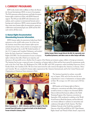## I. CURRENT PROGRAMS

IJDH works closely with its affiliate in Haiti, the *Bureau des Avocats Internationaux* (BAI), on most of its programs. The BAI represents political prisoners and helps document human rights violations in Haiti, with IJDH's financial support. The BAI provides IJDH with information and analysis, and is a partner in international lawsuits and at hearings and conferences. IJDH's current programs fall into three main areas: human rights documentation, grassroots collaboration and pursuing legal cases. IJDH and the BAI each work in all three areas.

## A. Human Rights Documentation/ Disseminating Accurate Information

IJDH's human rights documentation helps keep Haiti's repression on the world's radar screen. In its first year, the Institute issued three major human rights reports and placed more than a dozen articles in newspapers and websites throughout the world. We briefed members of the U.S. Congress and Canadian Parliament, and testified before the Inter-American Commission on Human Rights (IACHR). Our documentation focuses on human rights violations that affect Haiti's poor majority, and



Haitian lawyer Mario Joseph directs the BAI. He represents over 70 political prisoners, and takes cases no other lawyer will take.

denounces all responsible actors, whether they be agents of the Haitian government, gangs, soldiers or foreign governments. The Institute has become a respected source of expertise on human rights in Haiti and has been quoted by mainstream media such as the New York Times, the Washington Post, NPR, the BBC and CNN, progressive outlets including Democracy Now!, Pacifica Radio, the Guardian (UK). We have been interviewed by radio stations throughout the Americas, in Europe, Africa and Australia. We are consulted by human rights organizations like Amnesty International, and by the United Nations and Organization of American States missions to Haiti.



Brian Concannon Jr. , IJDH' s Director, and Mario Joseph of the BAI (second from left) spoke at a panel on Haiti at the World Social Forum in Brazil in January 2005.

The Institute launched its website, www.ijdh. org, in August, 2004, and it has become the most comprehensive source of information on human rights in Haiti. We average over 200 visitors and 2,500 hits per day.

IJDH speaks out for human rights in Haiti at conferences, conventions and rallies, before audiences as small as twenty to as large as two thousand. IJDH's Director delivered the keynote address at the Parish Twinning Program of the Americas convention in September, 2004, moderated a workshop at the World Social Forum in Brazil this January, and has delivered over twenty addresses to audiences at universities and conferences throughout North America. The Haiti Solidarity Network of the North East awarded the Directors of the BAI and IJDH its 2005 "Haiti Human Rights Award" and "Friend of Haiti Award", respectively.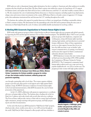IJDH seeks not only to disseminate human rights information, but also to explain to Americans and other audiences in wealthy countries why they should care about Haiti. We place Haiti's current crisis within the context of a long history of U.S. support for Haitian tyrants, and explain why Haiti will never have a stable democracy until the U.S. and other wealthy countries allow it to. We also enumerate the costs of undermining Haitian democracy to American taxpayers, including regular troop deployments, refugee crises and erosion of prior investments in the country. IJDH places Haiti in a broader context of aggressive U.S. foreign policy that undermines international law and decreases the U.S.' standing throughout the world.

The Institute also explains why support for popular democracy in Haiti is an integral part of building a sustainable solution to Haiti's centuries of misery. We demonstrate how the painstaking work of the BAI and its partners during the nine years of democracy in Haiti helped break the cycle of violence and establish durable mechanisms for resolving conflicts.

### B. Working With Grassroots Organizations to Promote Human Rights In Haiti

IJDH works with grassroots groups in Haiti to help develop an effective human rights advocacy program with global outreach, by supporting the BAI and through the Institute's Port-au-Prince based investigator. The IJDH/BAI office's "NGO room" provides



IJDH helped KOFAVIV, the Komisyon Fanm Viktim pou Viktim, (Women Victims' Commission for Victims) establish a program for victims of rape, that includes medical treatment, solidarity groups and grassroots organizing.

care through a partnership with a local clinic. The women organize solidarity groups to provide each other psycho-social support and to fight against Haiti's epidemic of rape. KOFEVIV denounces violations of women's human rights in the local and international press, while IJDH documents the cases for future prosecution of the perpetrators.

In the U.S., IJDH collaborates with grassroots organizations to coordinate advocacy on human rights in Haiti. The Institute plays a leading role in the Let Haiti Live Coalition, and works closely with several other advocacy coalitions. The Port-au-Prince staff provides visitors to Haiti with in-country legal and human rights orientation, arranges meetings with grassroots groups, and helps prepare reports and other documentation.

At the end of the fiscal year, IJDH launched its "*Half-Hour for Haiti*" program, which provides a short, weekly action alert to over 2,000 activists throughout the world*. Half-Hour for Haiti* is designed to allow people with busy schedules to

grassroots groups with telephones, computers and working space, along with human rights reporting training, legal analysis, and introductions to potential foreign collaborators. Many of these organizations receive no other support, because they do not yet have the skills necessary to get on funders' radar screens (communication, accounting, even literacy), and because their support for Haiti's constitutional authorities alienates many funders.

IJDH helped poor women who were victims of rape in Haiti's previous dictatorship (1991-1994) establish the Commission of Women Victims for Victims (KOFAVIV). The Commission's community-based human rights workers reach out to rape survivors in popular neighborhoods- over 200 in our first year. The program provides victims with high-quality medical



Annette Auguste, a folksinger, grandmother and grassroots activist, was arrested illegally in May 2004, and remains in prison.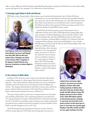make a concrete difference, while developing a knowledgeable and persistent constituency for Haiti advocacy work and providing exposure and support for the campaigns of our collaborators in Haiti and abroad.

## C. Pursuing Legal Claims in Haiti and Abroad

IJDH helps victims of human rights violations pursue cases in national and international courts. In Haiti, BAI lawyers



Yvon Neptune, Haiti's last constitutional Prime Minister, has been in jail illegally since May 2004. IJDH, the BAI and a student clinic at Hastings Law School in San Francisco, filed a complaint on Mr. Neptune's behalf with the Inter-American Commission on Human Rights in Washington.

represented over seventy political prisoners and persecuted journalists during the year, and are the only ones who will take many cases. Nine BAI clients have been freed, while several others have received liberation orders, without being freed. The BAI has also filed civil suits against the Haitian government and the UN on behalf of the families of people killed in police custody.

Outside Haiti, the Institute prepares cases for international courts, in collaboration with law school clinics. IJDH helped found a human rights clinic at the University of California Hastings law school in the fall of 2004. In April, 2005, the Hastings Clinic, the BAI and IJDH filed a Petition with the Inter-America Commission on Human Rights on behalf of Yvon Neptune, Haiti's last constitutional Prime Minister, who has been held illegally for a year. Another IACHR petition, developed with the Yale Law School Human Rights Clinic, will

be filed soon. IJDH has provided legal and strategic advice and expert testimony in over a dozen political asylum cases in the U.S. We have also assisted the Center for Justice and Accountability in lawsuits in U.S. courts against two leaders of Haiti's 1991-1994 dictatorship: Emmanuel Constant, the head of the FRAPH death squad, and Carl Dorelien, a member of the military high command.

### D. The Context of IJDH's Work

In February 2004, armed men, many of them convicted human rights abusers, escalated their campaign of violence against Haiti's elected government and its supporters. They assassinated police officers and democracy activists, intimidated journalists, raped and tortured women, and burned government buildings and vehicles. The insurgents allied themselves with Haiti's economic elites, and the two groups combined with the governments of the United States and France to force Haiti's constitutional government from power on February 29.

The regime change ended over nine years of continuous democracy, the longest such interlude in Haiti's history. The constitutional authorities were replaced by a U.S.-supported Interim Government of Haiti (IGH) led by a Boca Raton-based talk show host. The IGH moved quickly to grant tax breaks to the wealthy and dismantle government literacy, nutrition and education programs. Food prices doubled, a heavy burden on people managing to survive on \$1 a day.

The IGH immediately started attacking pro-democracy activists. The Portau-Prince morgue disposed of 1,000 bodies, many bearing signs of execution, in



Catholic Priest and human rights activist Fr. Jean-Juste was arrested illegally in October, 2004, while feeding hundreds of children their only meal of the day. The BAI's Mario Joseph and IJDH volunteer lawyer Bill Quigley stood up for him in Haitian courts, while IJDH helped organize an international pressure campaign. Fr. Jean-Juste was freed after seven weeks in prison. As this report goes to press, Fr. Jean-Juste was arrested again, illegally in July 2005, and BAI and IJDH are once again working to free him.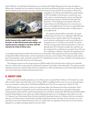March 2004 alone. Several hundred political prisoners rot in Haitian jails. Families fleeing persecution sleep each night in a different place. Journalists have been attacked: several have been beaten and abducted; the police executed one in January 2005 after he witnessed a police execution of two men. Critical radio stations have been closed by the government or destroyed by



Another innocent victim caught in police crossfire, November 18, 2004. IJDH documents police killings, and organizes pressure campaigns to stop them, while BAI represents the victims in Haitian courts.

paramilitaries. The Haitian army, disbanded by popular demand in 1995, has illegally re-formed and now controls many areas of the country, commandeering police stations, patrolling with assault rifles and resuming its trademark brutality against the defenseless. UN Peacekeeping troops maintain order in the business districts, but offer little protection to activists in poor urban or rural neighborhoods. UN troops even make illegal arrests themselves, and back up the Haitian police on illegal sweeps of poor neighborhoods

The institutions that should have responded to the assault on Haiti's democracy did not do so. Although CARICOM and the African Union, together a third of the UN membership, passed resolutions condemning the *coup d'etat* and calling for an investigation, the U.S. and France prevented the UN and the OAS from reacting as their charters required them to. In the U.S., although many NGOs did speak out against the *coup* before and after it happened, the overall response was muted. Some of this was due to inadequate coordination, especially with organizations such

as civil rights groups that did not follow Haiti closely but were natural allies. Other organizations with more knowledge of Haiti privileged their dislike of Haiti's leaders over their commitment to democracy and sovereignty. The mainstream media, and even much of the progressive media, uncritically accepted the U.S. Administration's version of events or dwelled on the imperfections of Haiti's democracy rather than the horrors of its replacement.

This inadequate response was the strongest impetus for IJDH's founding. We realized that there would never be sustainable democracy in Haiti until a strong, organized and informed constituency in powerful countries demanded it. The repression and the inadequate response also created an urgent need for an organization to collect and disseminate accurate human rights information and to pursue legal claims in Haitian and international courts.

## II. ABOUT IJDH

IJDH is a non-profit charitable organization, run by a Director and a six-member Board of Directors. The Institute has a main office in Joseph, Oregon, and a Haiti office in Port-au-Prince. IJDH is not affiliated with nor does it receive any financial support from any government or political party. The IRS granted IJDH Section 501(c)(3) tax exempt status on March 28, 2005.

IJDH's founders have a long history of advocacy for the human rights of the disempowered in Haiti and elsewhere. Board member Dr. Paul Farmer has changed the way the world treats infectious diseases among the poor, through his high-quality medical programs in Haiti and Peru, and his international advocacy of health as a human right. IJDH Treasurer Ira Kurzban helped found the Haitian Refugee Center, and has successfully challenged discriminatory U.S. immigration policies all the way to the U.S. Supreme Court. Board member Bryan Stevenson founded the Equal Justice Initiative of Alabama, which has overturned or reduced over 70 death sentences. Board member Laura Flynn helped found the Bay Area Haiti Action Committee, one of the most effective advocates for Haitian democracy in the U.S., and the Haiti Accompaniment Project that sent several American delegations to accompany and support grassroots activists in Haiti.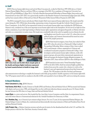## A. Staff

IJDH's Director, human rights lawyer and activist Brian Concannon Jr., worked in Haiti from 1995-2004, first as a United Nations Human Rights Observer, and from 1996 as co-manager of the BAI. He is a graduate of Georgetown University Law Center (JD) and Middlebury College (B.A.). He held a Brandeis International Fellowship in Human Rights, Intervention and International Law from 2001-2003, was a guest faculty member at the Brandeis Seminar for International Judges (June-July 2004), and has been named a fellow of Harvard Law School's Wasserstein Public Interest Fellows Program for 2005-2006.

The BAI is managed by lawyer and educator Mario Joseph, Haiti's most respected human rights lawyer. Mr. Joseph started his career during the 1991-1994 *de facto* dictatorship, representing victims of repression through the Catholic Church's Justice and Peace Commission. At the BAI, he has represented victims in several major human rights cases, including the 2000 Raboteau Massacre trial, considered one of the most important recent human rights trials in the hemisphere. He has served on high-level law reform commissions, he provides legal training to Haitian human rights organizations and appears frequently on Haitian television and radio as a commentator on justice issues. Mr. Joseph runs considerable risks in his work: he regularly receives threats; his wife



IJDH's Anne Sosin and the BAI's Mario Joseph spoke at the Health and Human Rights Conference sponsored by Zanmi Lasante/Partners in Health in Cange, Haiti.

and daughters were forced to move to the U.S., where they received political asylum, and Amnesty International has issued an action alert for Mr. Joseph's protection.

IJDH's Haiti-based investigator, Anne Sosin, has worked in Haiti since 2003, when she arrived on a Dartmouth College Lombard Post-graduate Fellowship. Before coming to Haiti, Anne worked with a rural domestic violence organization in Vermont and coordinated social justice programs at Dartmouth College. Anne investigates and documents human rights violations, works with grassroots groups, advocates before international organizations in Haiti and manages the Institute's foreign delegation program. In September 2005, Anne will leave IJDH for other challenges in Haiti.

IJDH launched its innovative Virtual Internship Program (VIP) in the fall of 2004, which has attracted highly-qualified law students from across the country who volunteer to work on the Institute's cases and organizational projects from their homes and schools. The VIP program is the first of its kind, and harnesses

telecommunications technology to amplify the Institute's work while giving students valuable experience in the human rights field. The VIP program started with two students in the fall of 2004, and expanded to four in Spring 2005, and seven during the summer.

## B. Board Members:

Brian Concannon Jr., Esq., IJDH's Director.

Paul Farmer, M.D. Ph.D., Founder, Partners in Health (PIH) and Professor, Harvard Medical School. PIH has treated sick Haitians with dignity and success since 1984, and changed the way the world treats infectious diseases among the poor. Dr. Farmer divides his time between the PIH clinic in Cange, Haiti and Harvard Medical School.

Laura Flynn, is a writer and activist. She founded the Bay Area Haiti Action Committee and the Haiti Accompaniment Project, and is the former director of international relations for the Aristide Foundation for Democracy in Haiti.

Ira J. Kurzban, Esq., one of America's pre-eminent refugee lawyers. For over 27 years, he has represented Haitian Refugees, the Haitian Refugee Center in Miami, the constitutional and democratically elected governments of Haiti and Presidents Rene Preval and Jean-Bertrand Aristide.

Judy Prosper, Esq., a Haitian-American attorney and advocate for justice for the disenfranchised both in the U.S. and Haiti. Ms. Prosper practices with the New York State Attorney General's office.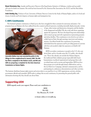**Bryan Stevenson, Esq.**, founder and Executive Director of the Equal Justice Initiative of Alabama, a tireless and successful advocate for death-row inmates. His work has been honored by the American Bar Association, the ACLU and the MacArthur Foundation.

Irwin Stotzky, Esq., Professor of Law, University of Miami; Director, Center for the Study of Human Rights, author of a book and dozens of articles and book chapters on human rights and immigration law.

## C. IJDH's Constituencies

The Institute's primary constituency is Haiti's poor, who have struggled for three centuries for autonomy and justice. Our programs focus on Haitians who have suffered from the country's political repression, including internally displaced people, victims



Journalist Abdias Jean was executed by police in the Village de Dieu neighborhood in January 2005. The BAI has filed a complaint in the Haitian courts, and BAI and IJDH are preparing a complaint for the Inter-American Commission on Human Rights.

of rape, other torture and destruction of property and the families of the disappeared and killed. We also work with those organizing against the repression. We have developed long-term relationships with women's groups and with organizations representing peasants and urban dwellers. This constituency is involved in our work on a daily basis in Haiti, through meetings, interviews and training sessions. Our efforts benefit this constituency by protecting individuals from the repression and by providing grassroots activists with the tools needed to fight the repression on behalf of all Haitians.

IJDH's secondary constituency is people in the U.S. who care about Haiti, and in a broader sense the U.S. public, who should care. Those who already care include the Haitian diaspora, the traditional Haiti solidarity groups (especially faith-based, humanitarian or political organizations) and groups that work on related issues such as racism and imperialism. IJDH involves these groups in its work through formal collaboration, such as the Let Haiti Live Campaign, informal communication, and by participating in conferences, demonstrations and other activities.

The Institute distributes human rights reports and action alerts to an email list of over 1000 organizations, activists, scholars, government officials and journalists. IJDH seeks to enlarge this second constituency by presenting the general public with information showing why they should care about Haiti.

# Supporting IJDH

**IJDH urgently needs your support. Please send your contribution to:**

**IJDH Box 806 Key Biscayne, FL 33149**

**or donate online at www.ijdh.org.**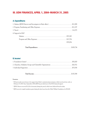## III. IJDH FINANCES, APRIL 1, 2004–MARCH 31, 2005

## A. Expenditures

| 4. Support for BAI <sup>1</sup> |          |
|---------------------------------|----------|
|                                 |          |
|                                 |          |
|                                 | \$79,054 |
|                                 |          |
|                                 |          |

#### B. Income**<sup>2</sup>**

|--|--|--|--|--|--|

#### **Footnotes**

<sup>1</sup> BAI previously received most of its support from Haiti's constitutional government, which was forced into exile on February 29, 2004. Since September 2004, IJDH has provided most of the BAI's financial support.

2 IJDH's Director received \$1,242 in honoraria during the period, which were deducted from his salary.

<sup>3</sup> IJDH received a single foundation grant during the fiscal year, from the Public Welfare Foundation, for \$50,000.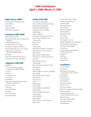## IJDH Contributors April 1, 2004–March 31, 2005

#### Major Donors: \$5000+

Kurzban, Kurzban, Weinger & Tetzeli Laura M. Flynn Russel Flynn Partners in Health Public Welfare Foundation

#### Sustainers: \$1000–\$5000

Hope & John Comerford Holy Family Catholic Church, Davidsonville, Maryland Deborah & William Kopacz Donald H. Libbey & Sara L. Flynn Haiti Justice Committee of Minnesota Marin Interfaith Task Force on the Americas Missionary Society of St. Paul, The Apostle in Mass, Boston Bill Quigley Carol A. Strazer & Robert John Strazer Margaret Trost & Thomas Hendrickson

### Supporters: \$500–\$999

Philil Blank St. Ives Church Service and Justice Commission, Southfield, Michigan Tom Driver John Duff Joan Yasui Emerson Amy M. Flynn Jennifer Flynn Honey Brook United Presbyterian Church Women's Association, PA Margaret A. Lester John Longo Lynn Pearl Robinson Ben Terrall Marc Van Der Hout Bernard P. Wolfsdorf

#### Friends: \$100–\$499

Joan Adams & Agnes Adams James G. Adriance & Barbara K. Kohnen Sandra Barth & Joseph Barth Richard and Cathleen Bernard Linda Boise & Steven Goldberg Amelia Burgess Judith C. Burkhardt Jane Skelley Carroll & James E. Carroll Mary B. Carry & William J. Carry Catherine Clare Rebecca Davis Joan Dayan Anthony Draye Wafaie W. Fawzi &Mary C. Smith-Fawzi Richard E. Feeney & Anne K. Feeney Frantz Gabriel Jeffrey Gardner & Judith Gardner Chris M. Geyer & Christina Dulin-Geyer Joan Garde Raymond and Lise Giraud Thomas Griffin Terrence M. Haran & Elizabeth J. Haran Robert Heaney Scott Hostetter Philip B. Huffman and Audrey A. Huffman James O. Kelly John T. Kidder & Frances Kidder James Knutson Amy Ace Lance Lien Lin Michael Maggio John B. Martin Lori Jo McBride & John McBride Jean McCaffery Timothy and Angie McConnell Jeanne Morales Joia S. Mukherjee Daniel Murphy Mark J. Newman & Una E. Newman Jeffrey Nohner

Joseph F. Palen & Mary S. Palen Dr. James & Linda Patterson Catherine Podojil Ms. Shirley Quement Allison V. Reed Elizabeth H. Robinson Theodore Ruthizer Barbara Rylko-Bauer D.A. Schaefer Suzanne Seltzer Site Design & Assoc., Inc. Philip D. Shephard & Ann B. Humphrey Dale Sorensen & George Friemoth Dale Stitt, & Esther Elizabeth Tate & Renner Unitarian Universal Alert Meeting, North Chatham, MA Nadege Volcy Yong Wang Desiree Wayne Michelle Witte

### **Contributors**

A. David Albertine Byron Barton Juliet Bernstein, Fellowship of Reconciliation, Cape Cod Center Iris E. Biblowitz Douglas Braaten Paula D. Bronstein Richard Bombaci John and Susan Burns Esther F. Cowell Ms. Diana Cumming Elizabeth Cunningham & Skip Keith Miller Stanlynn Daugherty Marie de Paul Combo, SCL – Sisters of Charity of Leavenworth Patrick De Santos Bruce Drake & Eileen Drake Dean & Rosa Duquette Cecilia Flickinger